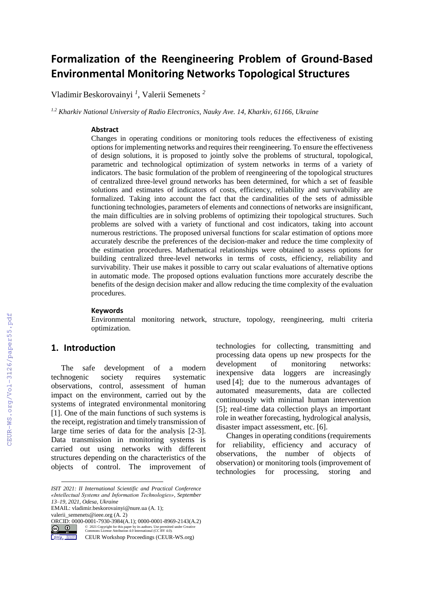# **Formalization of the Reengineering Problem of Ground-Based Environmental Monitoring Networks Topological Structures**

Vladimir Beskorovainyi *<sup>1</sup>* , Valerii Semenets *<sup>2</sup>*

*1.2 Kharkiv National University of Radio Electronics, Nauky Ave. 14, Kharkiv, 61166, Ukraine*

#### **Abstract**

Changes in operating conditions or monitoring tools reduces the effectiveness of existing options for implementing networks and requires their reengineering. To ensure the effectiveness of design solutions, it is proposed to jointly solve the problems of structural, topological, parametric and technological optimization of system networks in terms of a variety of indicators. The basic formulation of the problem of reengineering of the topological structures of centralized three-level ground networks has been determined, for which a set of feasible solutions and estimates of indicators of costs, efficiency, reliability and survivability are formalized. Taking into account the fact that the cardinalities of the sets of admissible functioning technologies, parameters of elements and connections of networks are insignificant, the main difficulties are in solving problems of optimizing their topological structures. Such problems are solved with a variety of functional and cost indicators, taking into account numerous restrictions. The proposed universal functions for scalar estimation of options more accurately describe the preferences of the decision-maker and reduce the time complexity of the estimation procedures. Mathematical relationships were obtained to assess options for building centralized three-level networks in terms of costs, efficiency, reliability and survivability. Their use makes it possible to carry out scalar evaluations of alternative options in automatic mode. The proposed options evaluation functions more accurately describe the benefits of the design decision maker and allow reducing the time complexity of the evaluation procedures.

#### **Keywords**

Environmental monitoring network, structure, topology, reengineering, multi criteria optimization.

### **1. Introduction**

The safe development of a modern technogenic society requires systematic observations, control, assessment of human impact on the environment, carried out by the systems of integrated environmental monitoring [1]. One of the main functions of such systems is the receipt, registration and timely transmission of large time series of data for the analysis [2-3]. Data transmission in monitoring systems is carried out using networks with different structures depending on the characteristics of the objects of control. The improvement of

EMAIL: vladimir.beskorovainyi@nure.ua (A. 1);

[valerii\\_semenets@ieee.org](mailto:valerii_semenets@ieee.org) (A. 2) **ORCID:** 0000-0001-7930-3984(A.1); 0000-0001-8969-2143(A.2)<br> **CO** 2021 Copyright for this paper by its authorizable of Change and CC RY-4 m



 $\overline{a}$ 

©️ 2021 Copyright for this paper by its authors. Use permitted under Creative Commons License Attribution 4.0 International (CC BY 4.0).

CEUR Workshop Proceedings (CEUR-WS.org)

technologies for collecting, transmitting and processing data opens up new prospects for the development of monitoring networks: inexpensive data loggers are increasingly used [4]; due to the numerous advantages of automated measurements, data are collected continuously with minimal human intervention [5]; real-time data collection plays an important role in weather forecasting, hydrological analysis, disaster impact assessment, etc. [6].

Changes in operating conditions (requirements for reliability, efficiency and accuracy of observations, the number of objects of observation) or monitoring tools (improvement of technologies for processing, storing and

*ISIT 2021: II International Scientific and Practical Conference «Intellectual Systems and Information Technologies», September 13–19, 2021, Odesa, Ukraine*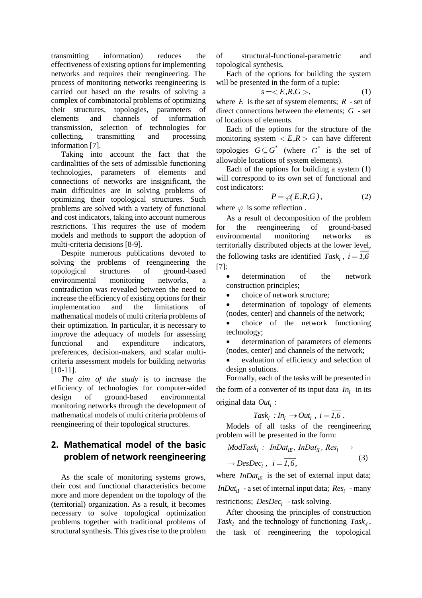transmitting information) reduces the effectiveness of existing options for implementing networks and requires their reengineering. The process of monitoring networks reengineering is carried out based on the results of solving a complex of combinatorial problems of optimizing their structures, topologies, parameters of elements and channels of information transmission, selection of technologies for collecting, transmitting and processing information [7].

Taking into account the fact that the cardinalities of the sets of admissible functioning technologies, parameters of elements and connections of networks are insignificant, the main difficulties are in solving problems of optimizing their topological structures. Such problems are solved with a variety of functional and cost indicators, taking into account numerous restrictions. This requires the use of modern models and methods to support the adoption of multi-criteria decisions [8-9].

Despite numerous publications devoted to solving the problems of reengineering the topological structures of ground-based environmental monitoring networks, a contradiction was revealed between the need to increase the efficiency of existing options for their implementation and the limitations of mathematical models of multi criteria problems of their optimization. In particular, it is necessary to improve the adequacy of models for assessing functional and expenditure indicators, preferences, decision-makers, and scalar multicriteria assessment models for building networks [10-11].

*The aim of the study* is to increase the efficiency of technologies for computer-aided design of ground-based environmental monitoring networks through the development of mathematical models of multi criteria problems of reengineering of their topological structures.

## **2. Mathematical model of the basic problem of network reengineering**

As the scale of monitoring systems grows, their cost and functional characteristics become more and more dependent on the topology of the (territorial) organization. As a result, it becomes necessary to solve topological optimization problems together with traditional problems of structural synthesis. This gives rise to the problem

of structural-functional-parametric and topological synthesis.

Each of the options for building the system will be presented in the form of a tuple:

$$
s =  , \qquad (1)
$$

where  $E$  is the set of system elements;  $R$  - set of direct connections between the elements; *G* - set of locations of elements.

Each of the options for the structure of the monitoring system  $\langle E, R \rangle$  can have different topologies  $G \subseteq G^*$  (where  $G^*$  is the set of allowable locations of system elements).

Each of the options for building a system (1) will correspond to its own set of functional and cost indicators:

$$
P = \varphi(E, R, G), \tag{2}
$$

where  $\varphi$  is some reflection.

As a result of decomposition of the problem for the reengineering of ground-based environmental monitoring networks as territorially distributed objects at the lower level, the following tasks are identified  $Task_i$ ,  $i = 1.6$ [7]:

 determination of the network construction principles;

choice of network structure;

- determination of topology of elements (nodes, center) and channels of the network;
- choice of the network functioning technology;
- determination of parameters of elements (nodes, center) and channels of the network;
- evaluation of efficiency and selection of design solutions.

Formally, each of the tasks will be presented in the form of a converter of its input data  $In<sub>i</sub>$  in its original data *Out<sup>i</sup>* :

$$
Task_i : In_i \rightarrow Out_i , i = \overline{1,6} .
$$

Models of all tasks of the reengineering

problem will be presented in the form:  
\n
$$
ModTask_i
$$
:  $InData_{iE}$ ,  $InData_{iI}$ ,  $Res_i \rightarrow$   
\n $\rightarrow DesDec_i$ ,  $i = \overline{1, 6}$ , (3)

where  $InData_{iE}$  is the set of external input data; *InDat<sub>iI</sub>* - a set of internal input data;  $Res_i$  - many restrictions; *DesDec<sup>i</sup>* - task solving.

After choosing the principles of construction Task<sub>1</sub></sub> and the technology of functioning  $Task_4$ , the task of reengineering the topological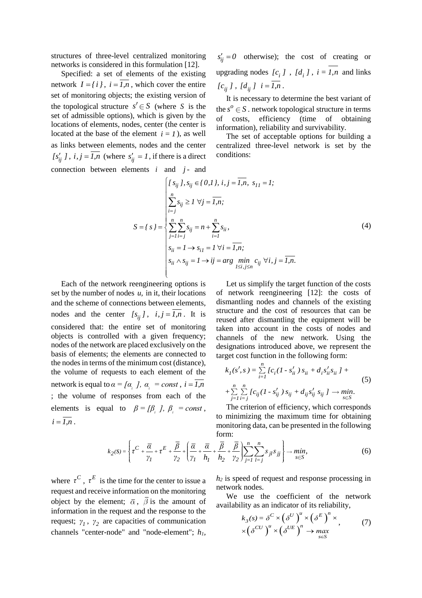structures of three-level centralized monitoring networks is considered in this formulation [12].

Specified: a set of elements of the existing network  $I = \{i\}$ ,  $i = 1, n$ , which cover the entire set of monitoring objects; the existing version of the topological structure  $s' \in S$  (where S is the set of admissible options), which is given by the locations of elements, nodes, center (the center is located at the base of the element  $i = 1$ ), as well as links between elements, nodes and the center  $[s'_{ij} \,]$ ,  $i, j = 1, n$  (where  $s'_{ij} = 1$ , if there is a direct

 $s'_{ij} = 0$  otherwise); the cost of creating or upgrading nodes  $[c_i]$ ,  $[d_i]$ ,  $i = 1, n$  and links  $[c_{ij} ]$ ,  $[d_{ij} ]$   $i = 1, n$ .

It is necessary to determine the best variant of the  $s^{\circ} \in S$  . network topological structure in terms of costs, efficiency (time of obtaining information), reliability and survivability.

The set of acceptable options for building a centralized three-level network is set by the conditions:

connection between elements *i* and *j*- and  
\n
$$
\begin{cases}\nI s_{ij} \, J, s_{ij} \in \{0, 1\}, i, j = \overline{I, n}, s_{11} = I; \\
\sum_{i=j}^{n} s_{ij} \geq I \,\forall j = \overline{I, n}; \\
S = \{ s \} = \begin{cases}\n\sum_{j=1}^{n} \sum_{i=j}^{n} s_{ij} = n + \sum_{i=1}^{n} s_{ii}, \\
\sum_{j=1}^{n} \sum_{i=j}^{n} s_{ij} = n + \sum_{i=1}^{n} s_{ii}, \\
s_{ii} = I \rightarrow s_{i1} = I \,\forall i = \overline{I, n}; \\
s_{ii} \wedge s_{ij} = I \rightarrow ij = arg \min_{1 \le i, j \le n} c_{ij} \,\forall i, j = \overline{I, n}.\n\end{cases}
$$
\n(4)

Each of the network reengineering options is set by the number of nodes *u,* in it, their locations and the scheme of connections between elements, nodes and the center  $[s_{ij}]$ ,  $i, j = 1, n$ . It is considered that: the entire set of monitoring objects is controlled with a given frequency; nodes of the network are placed exclusively on the basis of elements; the elements are connected to the nodes in terms of the minimum cost (distance), the volume of requests to each element of the network is equal to  $\alpha = [\alpha_i]$ ,  $\alpha_i$  = const,  $i = \overline{I}$ ,  $\overline{n}$ ; the volume of responses from each of the elements is equal to  $\beta = [\beta_i]$ ,  $\beta_i$  = const,  $i = \overline{I.n}$ .

Let us simplify the target function of the costs of network reengineering [12]: the costs of dismantling nodes and channels of the existing structure and the cost of resources that can be reused after dismantling the equipment will be taken into account in the costs of nodes and channels of the new network. Using the designations introduced above, we represent the

target cost function in the following form:  
\n
$$
k_{I}(s', s) = \sum_{i=1}^{n} [c_{i}(I - s'_{ii}) s_{ii} + d_{i}s'_{ii} s_{ii} ] +
$$
\n
$$
+ \sum_{j=1}^{n} \sum_{i=j}^{n} [c_{ij}(I - s'_{ij}) s_{ij} + d_{ij}s'_{ij} s_{ij} ] \rightarrow min. \tag{5}
$$

The criterion of efficiency, which corresponds to minimizing the maximum time for obtaining monitoring data, can be presented in the following form:  $\sum_{n=1}^n$ 

minitoring data, can be presented in the following form:

\n
$$
k_{2}(S) = \left\{ \tau^{C} + \frac{\overline{\alpha}}{\gamma_{1}} + \tau^{E} + \frac{\overline{\beta}}{\gamma_{2}} + \left( \frac{\overline{\alpha}}{\gamma_{1}} + \frac{\overline{\alpha}}{h_{1}} + \frac{\overline{\beta}}{h_{2}} + \frac{\overline{\beta}}{\gamma_{2}} \right) \sum_{j=1}^{n} \sum_{l=j}^{n} s_{jl} s_{jj} \right\} \to \min_{s \in S},
$$
\n(6)

where  $\tau^C$ ,  $\tau^E$  is the time for the center to issue a request and receive information on the monitoring object by the element;  $\overline{\alpha}$ ,  $\overline{\beta}$  is the amount of information in the request and the response to the request;  $\gamma_1$ ,  $\gamma_2$  are capacities of communication channels "center-node" and "node-element"; *h1,* 

*h<sup>2</sup>* is speed of request and response processing in network nodes.

We use the coefficient of the network availability as an indicator of its reliability,<br> $L(e) = \delta^C \times ( \delta^U )^u \times ( \delta^E )^u \times$ 

$$
k_{\beta}(s) = \delta^{C} \times (\delta^{U})^{u} \times (\delta^{E})^{n} \times
$$
  
 
$$
\times (\delta^{CU})^{u} \times (\delta^{UE})^{n} \rightarrow \max_{s \in S}
$$
 (7)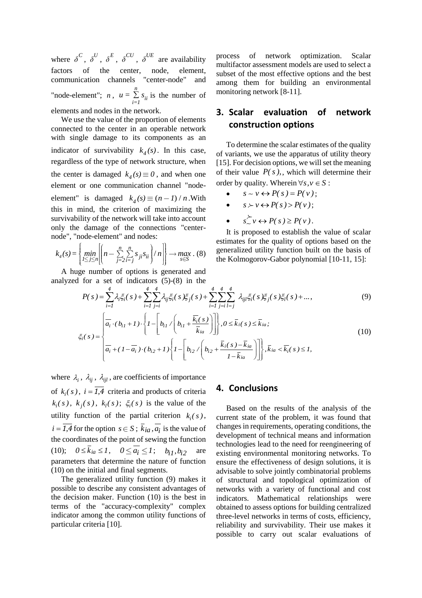where  $\delta^C$ ,  $\delta^U$ ,  $\delta^E$ ,  $\delta^{CU}$ ,  $\delta^{UE}$  are availability factors of the center, node, element, communication channels "center-node" and "node-element";  $n, u = \sum_{n=1}^{\infty}$  $\sum_{i=1}^{\infty}$ <sup>3</sup>ii  $u = \sum s_{ii}$  is the number of elements and nodes in the network.

We use the value of the proportion of elements connected to the center in an operable network with single damage to its components as an indicator of survivability  $k_4(s)$ . In this case, regardless of the type of network structure, when the center is damaged  $k_4(s) \equiv 0$ , and when one element or one communication channel "nodeelement" is damaged  $k_4(s) \equiv (n-1)/n$ . With this in mind, the criterion of maximizing the survivability of the network will take into account only the damage of the connections "center-

node", "node-element" and nodes:  
\n
$$
k_4(s) = \left\{ \min_{1 \le j \le n} \left[ \left( n - \sum_{j=2}^n \sum_{i=j}^n s_{ji} s_{ii} \right) / n \right] \right\} \to \max_{s \in S} . (8)
$$

A huge number of options is generated and analyzed for a set of indicators (5)-(8) in the

process of network optimization. Scalar multifactor assessment models are used to select a subset of the most effective options and the best among them for building an environmental monitoring network [8-11].

## **3. Scalar evaluation of network construction options**

To determine the scalar estimates of the quality of variants, we use the apparatus of utility theory [15]. For decision options, we will set the meaning of their value  $P(s)$ , which will determine their order by quality. Wherein  $\forall s, v \in S$ :

- $s \sim v \leftrightarrow P(s) = P(v)$ ;
- $s \succ v \leftrightarrow P(s) > P(v)$ ;
- $s \sim v \leftrightarrow P(s) \ge P(v)$ .

It is proposed to establish the value of scalar estimates for the quality of options based on the generalized utility function built on the basis of the Kolmogorov-Gabor polynomial [10-11, 15]:

$$
\begin{aligned}\n\begin{bmatrix}\nI \leq j \leq n \middle| \left( \quad \overline{j=2} \overline{i=j} \right)^{j_i - n} \right] & \text{if } j \leq j \leq n \\
\text{the Kolmogorov-Gabor polynomial } [10-11, 15]: \\
\text{if } j \geq j \leq n \text{ if } j \geq j \leq n\n\end{bmatrix} \\
\text{where } P(s) = \sum_{i=1}^{4} \lambda_i \xi_i(s) + \sum_{i=1}^{4} \sum_{j=i}^{4} \lambda_{ij} \xi_i(s) \xi_j(s) + \sum_{i=1}^{4} \sum_{j=i}^{4} \sum_{l=j}^{4} \lambda_{ijl} \xi_i(s) \xi_j(s) \xi_l(s) + \dots, \\
\text{(9)} \\
\frac{1}{\alpha_i} \cdot (b_{i1} + 1) \cdot \left\{ I - \left[ b_{i1} / \left( b_{i1} + \frac{\overline{k_i}(s)}{\overline{k}_{ia}} \right) \right] \right\}, 0 \leq \overline{k}_i(s) \leq \overline{k}_{ia}; \\
\xi_i(s) = \begin{cases}\n\frac{1}{\alpha_i} \cdot (b_{i1} + 1) \cdot \left\{ I - \left[ b_{i1} / \left( b_{i1} + \frac{\overline{k}_i(s)}{\overline{k}_{ia}} \right) \right] \right\}, 0 \leq \overline{k}_i(s) \leq \overline{k}_{ia}; \\
\frac{1}{\alpha_i} \cdot (1 - \overline{\alpha_i}) \cdot (b_{i2} + 1) \left\{ I - \left[ b_{i2} / \left( b_{i2} + \frac{\overline{k}_i(s) - \overline{k}_{ia}}{1 - \overline{k}_{ia}} \right) \right] \right\}, \overline{k}_{ia} < \overline{k}_i(s) \leq 1,\n\end{cases}\n\end{aligned} \tag{10}
$$

where  $\lambda_i$ ,  $\lambda_{ij}$ ,  $\lambda_{ijl}$ , are coefficients of importance of  $k_i(s)$ ,  $i = 1,4$  criteria and products of criteria  $k_i(s)$ ,  $k_j(s)$ ,  $k_l(s)$ ;  $\xi_i(s)$  is the value of the utility function of the partial criterion  $k_i(s)$ ,  $i = 1,4$  for the option  $s \in S$ ;  $k_{ia}, a_i$  is the value of the coordinates of the point of sewing the function (10);  $0 \le k_{ia} \le 1$ ,  $0 \le a_i \le 1$ ;  $b_{i1}, b_{i2}$ are parameters that determine the nature of function (10) on the initial and final segments.

The generalized utility function (9) makes it possible to describe any consistent advantages of the decision maker. Function (10) is the best in terms of the "accuracy-complexity" complex indicator among the common utility functions of particular criteria [10].

#### **4. Conclusions**

Based on the results of the analysis of the current state of the problem, it was found that changes in requirements, operating conditions, the development of technical means and information technologies lead to the need for reengineering of existing environmental monitoring networks. To ensure the effectiveness of design solutions, it is advisable to solve jointly combinatorial problems of structural and topological optimization of networks with a variety of functional and cost indicators. Mathematical relationships were obtained to assess options for building centralized three-level networks in terms of costs, efficiency, reliability and survivability. Their use makes it possible to carry out scalar evaluations of